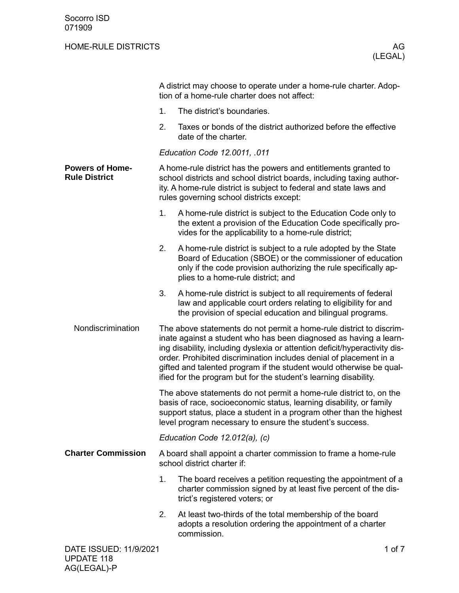|                                                |                                                                                                                                                                                                                                                                              | A district may choose to operate under a home-rule charter. Adop-<br>tion of a home-rule charter does not affect:                                                                                                                                                                                                                                                                                                                       |  |
|------------------------------------------------|------------------------------------------------------------------------------------------------------------------------------------------------------------------------------------------------------------------------------------------------------------------------------|-----------------------------------------------------------------------------------------------------------------------------------------------------------------------------------------------------------------------------------------------------------------------------------------------------------------------------------------------------------------------------------------------------------------------------------------|--|
|                                                | 1.                                                                                                                                                                                                                                                                           | The district's boundaries.                                                                                                                                                                                                                                                                                                                                                                                                              |  |
|                                                | 2.                                                                                                                                                                                                                                                                           | Taxes or bonds of the district authorized before the effective<br>date of the charter.                                                                                                                                                                                                                                                                                                                                                  |  |
|                                                |                                                                                                                                                                                                                                                                              | Education Code 12.0011, .011                                                                                                                                                                                                                                                                                                                                                                                                            |  |
| <b>Powers of Home-</b><br><b>Rule District</b> | A home-rule district has the powers and entitlements granted to<br>school districts and school district boards, including taxing author-<br>ity. A home-rule district is subject to federal and state laws and<br>rules governing school districts except:                   |                                                                                                                                                                                                                                                                                                                                                                                                                                         |  |
|                                                | 1.                                                                                                                                                                                                                                                                           | A home-rule district is subject to the Education Code only to<br>the extent a provision of the Education Code specifically pro-<br>vides for the applicability to a home-rule district;                                                                                                                                                                                                                                                 |  |
|                                                | 2.                                                                                                                                                                                                                                                                           | A home-rule district is subject to a rule adopted by the State<br>Board of Education (SBOE) or the commissioner of education<br>only if the code provision authorizing the rule specifically ap-<br>plies to a home-rule district; and                                                                                                                                                                                                  |  |
|                                                | 3.                                                                                                                                                                                                                                                                           | A home-rule district is subject to all requirements of federal<br>law and applicable court orders relating to eligibility for and<br>the provision of special education and bilingual programs.                                                                                                                                                                                                                                         |  |
| Nondiscrimination                              |                                                                                                                                                                                                                                                                              | The above statements do not permit a home-rule district to discrim-<br>inate against a student who has been diagnosed as having a learn-<br>ing disability, including dyslexia or attention deficit/hyperactivity dis-<br>order. Prohibited discrimination includes denial of placement in a<br>gifted and talented program if the student would otherwise be qual-<br>ified for the program but for the student's learning disability. |  |
|                                                | The above statements do not permit a home-rule district to, on the<br>basis of race, socioeconomic status, learning disability, or family<br>support status, place a student in a program other than the highest<br>level program necessary to ensure the student's success. |                                                                                                                                                                                                                                                                                                                                                                                                                                         |  |
|                                                |                                                                                                                                                                                                                                                                              | Education Code 12.012(a), (c)                                                                                                                                                                                                                                                                                                                                                                                                           |  |
| <b>Charter Commission</b>                      | A board shall appoint a charter commission to frame a home-rule<br>school district charter if:                                                                                                                                                                               |                                                                                                                                                                                                                                                                                                                                                                                                                                         |  |
|                                                | 1.                                                                                                                                                                                                                                                                           | The board receives a petition requesting the appointment of a<br>charter commission signed by at least five percent of the dis-<br>trict's registered voters; or                                                                                                                                                                                                                                                                        |  |
|                                                | 2.                                                                                                                                                                                                                                                                           | At least two-thirds of the total membership of the board<br>adopts a resolution ordering the appointment of a charter<br>commission.                                                                                                                                                                                                                                                                                                    |  |
| DATE ISSUED: 11/9/2021                         |                                                                                                                                                                                                                                                                              | 1 of 7                                                                                                                                                                                                                                                                                                                                                                                                                                  |  |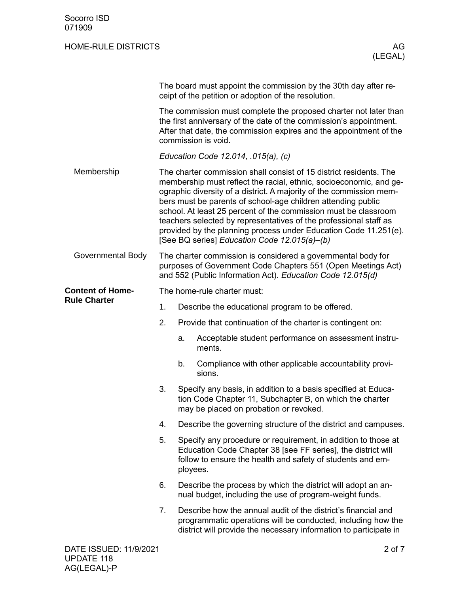|                         | The board must appoint the commission by the 30th day after re-<br>ceipt of the petition or adoption of the resolution.                                                                                                             |                                                                                                                                                                                                         |                                                                                                                                                                                                                                                                                                                                                                                                                                                                                                                                             |  |  |  |
|-------------------------|-------------------------------------------------------------------------------------------------------------------------------------------------------------------------------------------------------------------------------------|---------------------------------------------------------------------------------------------------------------------------------------------------------------------------------------------------------|---------------------------------------------------------------------------------------------------------------------------------------------------------------------------------------------------------------------------------------------------------------------------------------------------------------------------------------------------------------------------------------------------------------------------------------------------------------------------------------------------------------------------------------------|--|--|--|
|                         | The commission must complete the proposed charter not later than<br>the first anniversary of the date of the commission's appointment.<br>After that date, the commission expires and the appointment of the<br>commission is void. |                                                                                                                                                                                                         |                                                                                                                                                                                                                                                                                                                                                                                                                                                                                                                                             |  |  |  |
|                         |                                                                                                                                                                                                                                     |                                                                                                                                                                                                         | Education Code 12.014, .015(a), (c)                                                                                                                                                                                                                                                                                                                                                                                                                                                                                                         |  |  |  |
| Membership              |                                                                                                                                                                                                                                     |                                                                                                                                                                                                         | The charter commission shall consist of 15 district residents. The<br>membership must reflect the racial, ethnic, socioeconomic, and ge-<br>ographic diversity of a district. A majority of the commission mem-<br>bers must be parents of school-age children attending public<br>school. At least 25 percent of the commission must be classroom<br>teachers selected by representatives of the professional staff as<br>provided by the planning process under Education Code 11.251(e).<br>[See BQ series] Education Code 12.015(a)-(b) |  |  |  |
| Governmental Body       | The charter commission is considered a governmental body for<br>purposes of Government Code Chapters 551 (Open Meetings Act)<br>and 552 (Public Information Act). Education Code 12.015(d)                                          |                                                                                                                                                                                                         |                                                                                                                                                                                                                                                                                                                                                                                                                                                                                                                                             |  |  |  |
| <b>Content of Home-</b> |                                                                                                                                                                                                                                     | The home-rule charter must:                                                                                                                                                                             |                                                                                                                                                                                                                                                                                                                                                                                                                                                                                                                                             |  |  |  |
| <b>Rule Charter</b>     | 1.                                                                                                                                                                                                                                  |                                                                                                                                                                                                         | Describe the educational program to be offered.                                                                                                                                                                                                                                                                                                                                                                                                                                                                                             |  |  |  |
|                         | 2.                                                                                                                                                                                                                                  |                                                                                                                                                                                                         | Provide that continuation of the charter is contingent on:                                                                                                                                                                                                                                                                                                                                                                                                                                                                                  |  |  |  |
|                         |                                                                                                                                                                                                                                     | a.                                                                                                                                                                                                      | Acceptable student performance on assessment instru-<br>ments.                                                                                                                                                                                                                                                                                                                                                                                                                                                                              |  |  |  |
|                         |                                                                                                                                                                                                                                     | b.                                                                                                                                                                                                      | Compliance with other applicable accountability provi-<br>sions.                                                                                                                                                                                                                                                                                                                                                                                                                                                                            |  |  |  |
|                         | 3.                                                                                                                                                                                                                                  |                                                                                                                                                                                                         | Specify any basis, in addition to a basis specified at Educa-<br>tion Code Chapter 11, Subchapter B, on which the charter<br>may be placed on probation or revoked.                                                                                                                                                                                                                                                                                                                                                                         |  |  |  |
|                         | 4.                                                                                                                                                                                                                                  | Describe the governing structure of the district and campuses.                                                                                                                                          |                                                                                                                                                                                                                                                                                                                                                                                                                                                                                                                                             |  |  |  |
|                         | 5.                                                                                                                                                                                                                                  | Specify any procedure or requirement, in addition to those at<br>Education Code Chapter 38 [see FF series], the district will<br>follow to ensure the health and safety of students and em-<br>ployees. |                                                                                                                                                                                                                                                                                                                                                                                                                                                                                                                                             |  |  |  |
|                         | 6.                                                                                                                                                                                                                                  |                                                                                                                                                                                                         | Describe the process by which the district will adopt an an-<br>nual budget, including the use of program-weight funds.                                                                                                                                                                                                                                                                                                                                                                                                                     |  |  |  |
|                         | 7.                                                                                                                                                                                                                                  |                                                                                                                                                                                                         | Describe how the annual audit of the district's financial and<br>programmatic operations will be conducted, including how the<br>district will provide the necessary information to participate in                                                                                                                                                                                                                                                                                                                                          |  |  |  |
| DATE ISSUED: 11/9/2021  |                                                                                                                                                                                                                                     |                                                                                                                                                                                                         | 2 of 7                                                                                                                                                                                                                                                                                                                                                                                                                                                                                                                                      |  |  |  |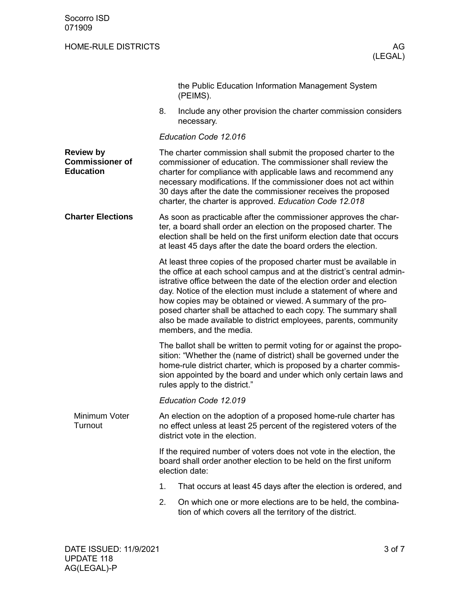|                                                                |                                                                                                                                                                           | the Public Education Information Management System<br>(PEIMS).                                                                                                                                                                                                                                                                                                                                                                                                                                                            |  |  |
|----------------------------------------------------------------|---------------------------------------------------------------------------------------------------------------------------------------------------------------------------|---------------------------------------------------------------------------------------------------------------------------------------------------------------------------------------------------------------------------------------------------------------------------------------------------------------------------------------------------------------------------------------------------------------------------------------------------------------------------------------------------------------------------|--|--|
|                                                                | 8.                                                                                                                                                                        | Include any other provision the charter commission considers<br>necessary.                                                                                                                                                                                                                                                                                                                                                                                                                                                |  |  |
|                                                                |                                                                                                                                                                           | Education Code 12.016                                                                                                                                                                                                                                                                                                                                                                                                                                                                                                     |  |  |
| <b>Review by</b><br><b>Commissioner of</b><br><b>Education</b> |                                                                                                                                                                           | The charter commission shall submit the proposed charter to the<br>commissioner of education. The commissioner shall review the<br>charter for compliance with applicable laws and recommend any<br>necessary modifications. If the commissioner does not act within<br>30 days after the date the commissioner receives the proposed<br>charter, the charter is approved. Education Code 12.018                                                                                                                          |  |  |
| <b>Charter Elections</b>                                       |                                                                                                                                                                           | As soon as practicable after the commissioner approves the char-<br>ter, a board shall order an election on the proposed charter. The<br>election shall be held on the first uniform election date that occurs<br>at least 45 days after the date the board orders the election.                                                                                                                                                                                                                                          |  |  |
|                                                                |                                                                                                                                                                           | At least three copies of the proposed charter must be available in<br>the office at each school campus and at the district's central admin-<br>istrative office between the date of the election order and election<br>day. Notice of the election must include a statement of where and<br>how copies may be obtained or viewed. A summary of the pro-<br>posed charter shall be attached to each copy. The summary shall<br>also be made available to district employees, parents, community<br>members, and the media. |  |  |
|                                                                |                                                                                                                                                                           | The ballot shall be written to permit voting for or against the propo-<br>sition: "Whether the (name of district) shall be governed under the<br>home-rule district charter, which is proposed by a charter commis-<br>sion appointed by the board and under which only certain laws and<br>rules apply to the district."                                                                                                                                                                                                 |  |  |
|                                                                |                                                                                                                                                                           | Education Code 12.019                                                                                                                                                                                                                                                                                                                                                                                                                                                                                                     |  |  |
| Minimum Voter<br>Turnout                                       | An election on the adoption of a proposed home-rule charter has<br>no effect unless at least 25 percent of the registered voters of the<br>district vote in the election. |                                                                                                                                                                                                                                                                                                                                                                                                                                                                                                                           |  |  |
|                                                                |                                                                                                                                                                           | If the required number of voters does not vote in the election, the<br>board shall order another election to be held on the first uniform<br>election date:                                                                                                                                                                                                                                                                                                                                                               |  |  |
|                                                                | 1.                                                                                                                                                                        | That occurs at least 45 days after the election is ordered, and                                                                                                                                                                                                                                                                                                                                                                                                                                                           |  |  |
|                                                                | 2.                                                                                                                                                                        | On which one or more elections are to be held, the combina-<br>tion of which covers all the territory of the district.                                                                                                                                                                                                                                                                                                                                                                                                    |  |  |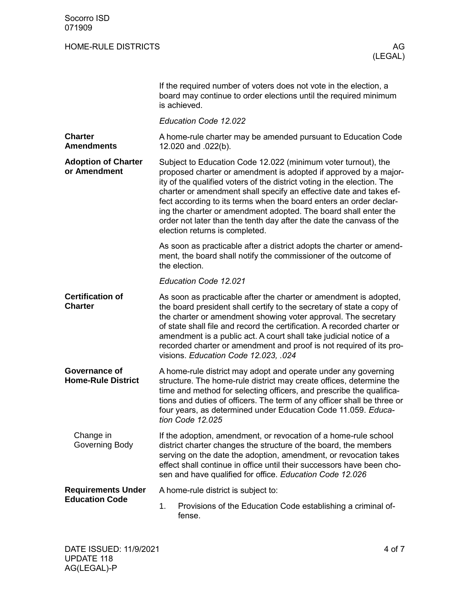|                                            | If the required number of voters does not vote in the election, a<br>board may continue to order elections until the required minimum<br>is achieved.                                                                                                                                                                                                                                                                                                                                                                                 |  |  |  |  |
|--------------------------------------------|---------------------------------------------------------------------------------------------------------------------------------------------------------------------------------------------------------------------------------------------------------------------------------------------------------------------------------------------------------------------------------------------------------------------------------------------------------------------------------------------------------------------------------------|--|--|--|--|
|                                            | Education Code 12.022                                                                                                                                                                                                                                                                                                                                                                                                                                                                                                                 |  |  |  |  |
| <b>Charter</b><br><b>Amendments</b>        | A home-rule charter may be amended pursuant to Education Code<br>12.020 and .022(b).                                                                                                                                                                                                                                                                                                                                                                                                                                                  |  |  |  |  |
| <b>Adoption of Charter</b><br>or Amendment | Subject to Education Code 12.022 (minimum voter turnout), the<br>proposed charter or amendment is adopted if approved by a major-<br>ity of the qualified voters of the district voting in the election. The<br>charter or amendment shall specify an effective date and takes ef-<br>fect according to its terms when the board enters an order declar-<br>ing the charter or amendment adopted. The board shall enter the<br>order not later than the tenth day after the date the canvass of the<br>election returns is completed. |  |  |  |  |
|                                            | As soon as practicable after a district adopts the charter or amend-<br>ment, the board shall notify the commissioner of the outcome of<br>the election.                                                                                                                                                                                                                                                                                                                                                                              |  |  |  |  |
|                                            | Education Code 12.021                                                                                                                                                                                                                                                                                                                                                                                                                                                                                                                 |  |  |  |  |
| <b>Certification of</b><br><b>Charter</b>  | As soon as practicable after the charter or amendment is adopted,<br>the board president shall certify to the secretary of state a copy of<br>the charter or amendment showing voter approval. The secretary<br>of state shall file and record the certification. A recorded charter or<br>amendment is a public act. A court shall take judicial notice of a<br>recorded charter or amendment and proof is not required of its pro-<br>visions. Education Code 12.023, .024                                                          |  |  |  |  |
| Governance of<br><b>Home-Rule District</b> | A home-rule district may adopt and operate under any governing<br>structure. The home-rule district may create offices, determine the<br>time and method for selecting officers, and prescribe the qualifica-<br>tions and duties of officers. The term of any officer shall be three or<br>four years, as determined under Education Code 11.059. Educa-<br>tion Code 12.025                                                                                                                                                         |  |  |  |  |
| Change in<br>Governing Body                | If the adoption, amendment, or revocation of a home-rule school<br>district charter changes the structure of the board, the members<br>serving on the date the adoption, amendment, or revocation takes<br>effect shall continue in office until their successors have been cho-<br>sen and have qualified for office. Education Code 12.026                                                                                                                                                                                          |  |  |  |  |
| <b>Requirements Under</b>                  | A home-rule district is subject to:                                                                                                                                                                                                                                                                                                                                                                                                                                                                                                   |  |  |  |  |
| <b>Education Code</b>                      | 1.<br>Provisions of the Education Code establishing a criminal of-<br>fense.                                                                                                                                                                                                                                                                                                                                                                                                                                                          |  |  |  |  |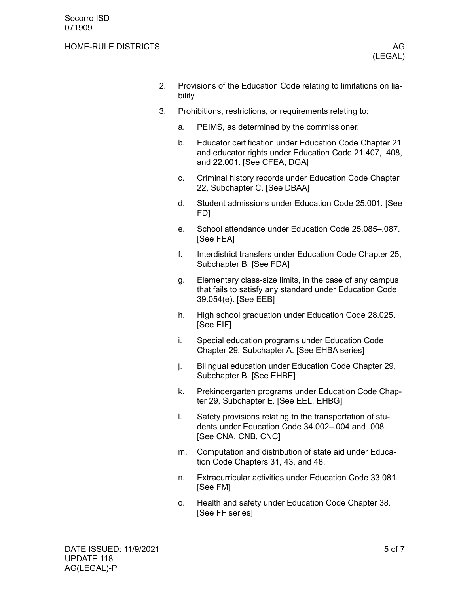- 2. Provisions of the Education Code relating to limitations on liability.
- 3. Prohibitions, restrictions, or requirements relating to:
	- a. PEIMS, as determined by the commissioner.
	- b. Educator certification under Education Code Chapter 21 and educator rights under Education Code 21.407, .408, and 22.001. [See CFEA, DGA]
	- c. Criminal history records under Education Code Chapter 22, Subchapter C. [See DBAA]
	- d. Student admissions under Education Code 25.001. [See FD]
	- e. School attendance under Education Code 25.085–.087. [See FEA]
	- f. Interdistrict transfers under Education Code Chapter 25, Subchapter B. [See FDA]
	- g. Elementary class-size limits, in the case of any campus that fails to satisfy any standard under Education Code 39.054(e). [See EEB]
	- h. High school graduation under Education Code 28.025. [See EIF]
	- i. Special education programs under Education Code Chapter 29, Subchapter A. [See EHBA series]
	- j. Bilingual education under Education Code Chapter 29, Subchapter B. [See EHBE]
	- k. Prekindergarten programs under Education Code Chapter 29, Subchapter E. [See EEL, EHBG]
	- l. Safety provisions relating to the transportation of students under Education Code 34.002–.004 and .008. [See CNA, CNB, CNC]
	- m. Computation and distribution of state aid under Education Code Chapters 31, 43, and 48.
	- n. Extracurricular activities under Education Code 33.081. [See FM]
	- o. Health and safety under Education Code Chapter 38. [See FF series]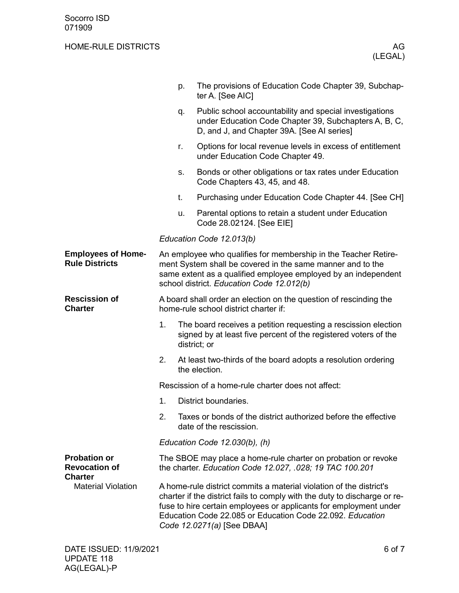|                                                                                            |                                                                                                                                                                                                                                                                                                                  | p.                            | The provisions of Education Code Chapter 39, Subchap-<br>ter A. [See AIC]                                                                                                                                                                    |  |  |  |
|--------------------------------------------------------------------------------------------|------------------------------------------------------------------------------------------------------------------------------------------------------------------------------------------------------------------------------------------------------------------------------------------------------------------|-------------------------------|----------------------------------------------------------------------------------------------------------------------------------------------------------------------------------------------------------------------------------------------|--|--|--|
|                                                                                            |                                                                                                                                                                                                                                                                                                                  | q.                            | Public school accountability and special investigations<br>under Education Code Chapter 39, Subchapters A, B, C,<br>D, and J, and Chapter 39A. [See AI series]                                                                               |  |  |  |
|                                                                                            |                                                                                                                                                                                                                                                                                                                  | r.                            | Options for local revenue levels in excess of entitlement<br>under Education Code Chapter 49.                                                                                                                                                |  |  |  |
|                                                                                            |                                                                                                                                                                                                                                                                                                                  | S.                            | Bonds or other obligations or tax rates under Education<br>Code Chapters 43, 45, and 48.                                                                                                                                                     |  |  |  |
|                                                                                            |                                                                                                                                                                                                                                                                                                                  | t.                            | Purchasing under Education Code Chapter 44. [See CH]                                                                                                                                                                                         |  |  |  |
|                                                                                            |                                                                                                                                                                                                                                                                                                                  | u.                            | Parental options to retain a student under Education<br>Code 28.02124. [See EIE]                                                                                                                                                             |  |  |  |
|                                                                                            |                                                                                                                                                                                                                                                                                                                  |                               | Education Code 12.013(b)                                                                                                                                                                                                                     |  |  |  |
| <b>Employees of Home-</b><br><b>Rule Districts</b>                                         |                                                                                                                                                                                                                                                                                                                  |                               | An employee who qualifies for membership in the Teacher Retire-<br>ment System shall be covered in the same manner and to the<br>same extent as a qualified employee employed by an independent<br>school district. Education Code 12.012(b) |  |  |  |
| <b>Rescission of</b><br><b>Charter</b>                                                     |                                                                                                                                                                                                                                                                                                                  |                               | A board shall order an election on the question of rescinding the<br>home-rule school district charter if:                                                                                                                                   |  |  |  |
|                                                                                            | 1.                                                                                                                                                                                                                                                                                                               |                               | The board receives a petition requesting a rescission election<br>signed by at least five percent of the registered voters of the<br>district; or                                                                                            |  |  |  |
|                                                                                            | 2.                                                                                                                                                                                                                                                                                                               |                               | At least two-thirds of the board adopts a resolution ordering<br>the election.                                                                                                                                                               |  |  |  |
|                                                                                            |                                                                                                                                                                                                                                                                                                                  |                               | Rescission of a home-rule charter does not affect:                                                                                                                                                                                           |  |  |  |
|                                                                                            | 1.                                                                                                                                                                                                                                                                                                               |                               | District boundaries.                                                                                                                                                                                                                         |  |  |  |
|                                                                                            | 2.                                                                                                                                                                                                                                                                                                               |                               | Taxes or bonds of the district authorized before the effective<br>date of the rescission.                                                                                                                                                    |  |  |  |
|                                                                                            |                                                                                                                                                                                                                                                                                                                  | Education Code 12.030(b), (h) |                                                                                                                                                                                                                                              |  |  |  |
| <b>Probation or</b><br><b>Revocation of</b><br><b>Charter</b><br><b>Material Violation</b> | The SBOE may place a home-rule charter on probation or revoke<br>the charter. Education Code 12.027, .028; 19 TAC 100.201                                                                                                                                                                                        |                               |                                                                                                                                                                                                                                              |  |  |  |
|                                                                                            | A home-rule district commits a material violation of the district's<br>charter if the district fails to comply with the duty to discharge or re-<br>fuse to hire certain employees or applicants for employment under<br>Education Code 22.085 or Education Code 22.092. Education<br>Code 12.0271(a) [See DBAA] |                               |                                                                                                                                                                                                                                              |  |  |  |